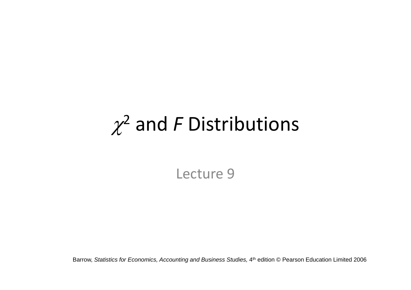# $\chi^2$  and *F* Distributions

Lecture 9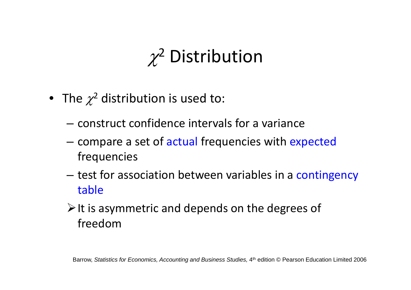# $\chi^2$  Distribution

- $\bullet~$  The  $\chi^2$  distribution is used to:
	- construct confidence intervals for <sup>a</sup> variance
	- compare a set of actual frequencies with expected frequencies
	- test for association between variables in a contingency table
	- $\triangleright$  It is asymmetric and depends on the degrees of freedom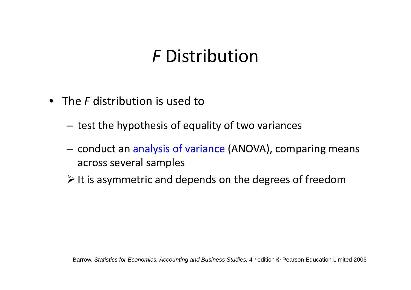#### *F* Distribution

- The *F* distribution is used to
	- $-$  test the hypothesis of equality of two variances
	- conduct an analysis of variance (ANOVA), comparing means across several samples
	- $\triangleright$  It is asymmetric and depends on the degrees of freedom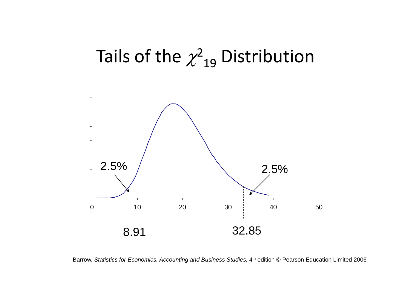## Tails of the  $\chi^2_{\phantom{2}19}$  Distribution



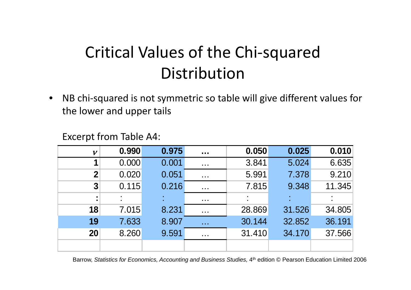#### Critical Values of the Chi‐squared Distribution

• NB chi‐squared is not symmetric so table will give different values for the lower and upper tails

#### Excerpt from Table A4:

| $\boldsymbol{\nu}$ | 0.990 | 0.975 | $\sim 0.00$                                                  | 0.050  | 0.025  | 0.010  |
|--------------------|-------|-------|--------------------------------------------------------------|--------|--------|--------|
|                    | 0.000 | 0.001 | $\sim 100$                                                   | 3.841  | 5.024  | 6.635  |
| $\boldsymbol{2}$   | 0.020 | 0.051 | $\sim 100$                                                   | 5.991  | 7.378  | 9.210  |
| 3                  | 0.115 | 0.216 | $\sim 100$                                                   | 7.815  | 9.348  | 11.345 |
| $\blacksquare$     |       |       | $\sim 100$ m $^{-1}$                                         |        |        |        |
| 18                 | 7.015 | 8.231 | $\sim$ $\sim$ $\sim$                                         | 28.869 | 31.526 | 34.805 |
| 19                 | 7.633 | 8.907 | $\sim 100$                                                   | 30.144 | 32.852 | 36.191 |
| 20                 | 8.260 | 9.591 | $\begin{array}{ccc} \bullet & \bullet & \bullet \end{array}$ | 31.410 | 34.170 | 37.566 |
|                    |       |       |                                                              |        |        |        |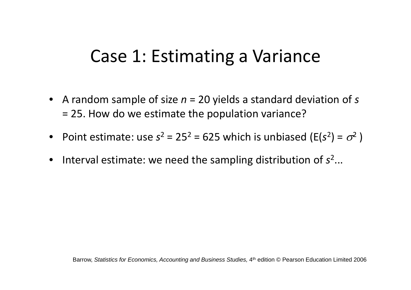#### Case 1: Estimating <sup>a</sup> Variance

- A random sample of size *<sup>n</sup>* <sup>=</sup> 20 yields <sup>a</sup> standard deviation of *<sup>s</sup>* = 25. How do we estimate the population variance?
- Point estimate: use  $s^2 = 25^2 = 625$  which is unbiased (E( $s^2$ ) =  $\sigma^2$ )
- Interval estimate: we need the sampling distribution of *<sup>s</sup>*2...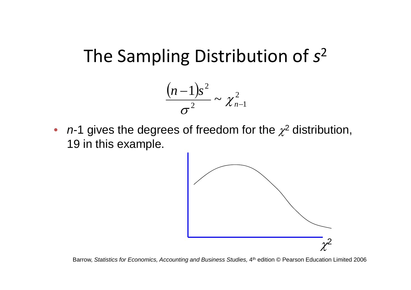#### The Sampling Distribution of *<sup>s</sup>*<sup>2</sup>



•  $n-1$  gives the degrees of freedom for the  $\chi^2$  distribution, 19 in this example.

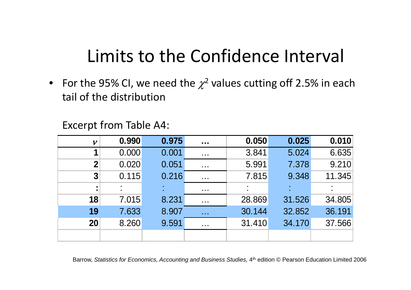## Limits to the Confidence Interval

• For the 95% CI, we need the  $\chi^2$  values cutting off 2.5% in each tail of the distribution

Excerpt from Table A4:

| $\boldsymbol{\nu}$ | 0.990 | 0.975 | $\sim 100$           | 0.050  | 0.025  | 0.010  |
|--------------------|-------|-------|----------------------|--------|--------|--------|
|                    | 0.000 | 0.001 | $\sim$ 100 $\pm$     | 3.841  | 5.024  | 6.635  |
| $\boldsymbol{2}$   | 0.020 | 0.051 | $\sim 100$           | 5.991  | 7.378  | 9.210  |
| $\overline{3}$     | 0.115 | 0.216 | $\sim 100$           | 7.815  | 9.348  | 11.345 |
|                    |       |       | $\sim$ 10 $\pm$      |        |        |        |
| 18                 | 7.015 | 8.231 | $\sim$ $\sim$ $\sim$ | 28.869 | 31.526 | 34.805 |
| 19                 | 7.633 | 8.907 | $\sim 100$           | 30.144 | 32.852 | 36.191 |
| 20                 | 8.260 | 9.591 | $\sim$ $\sim$ $\sim$ | 31.410 | 34.170 | 37.566 |
|                    |       |       |                      |        |        |        |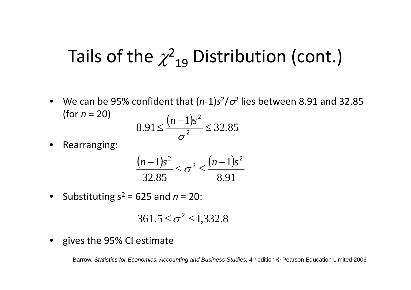## Tails of the  $\chi^2_{\phantom{2}19}$  Distribution (cont.)

• We can be 95% confident that  $(n-1)s^2/\sigma^2$  lies between 8.91 and 32.85 (for  $n = 20$ )  $\left( \begin{array}{cc} 3 & 2 \end{array} \right)$ 

$$
8.91 \le \frac{(n-1)s^2}{\sigma^2} \le 32.85
$$

•Rearranging:

$$
\frac{(n-1)s^2}{32.85} \le \sigma^2 \le \frac{(n-1)s^2}{8.91}
$$

• Substituting *<sup>s</sup>*<sup>2</sup> <sup>=</sup> 625 and *<sup>n</sup>* <sup>=</sup> 20:

$$
361.5 \leq \sigma^2 \leq 1,332.8
$$

• gives the 95% CI estimate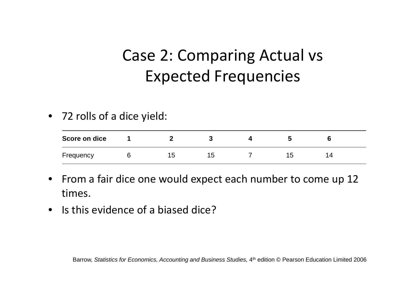#### Case 2: Comparing Actual vs Expected Frequencies

• 72 rolls of <sup>a</sup> dice yield:

| Score on dice |    |     |  |          |
|---------------|----|-----|--|----------|
| Frequency     | I5 | כ ו |  | $\prime$ |

- From <sup>a</sup> fair dice one would expect each number to come up 12 times.
- Is this evidence of <sup>a</sup> biased dice?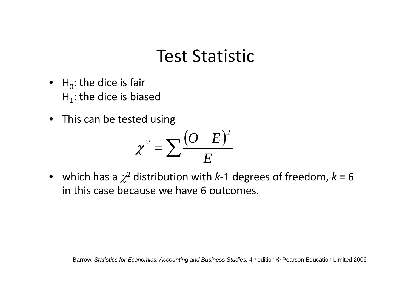#### Test Statistic

- $H_0$ : the dice is fair  $H_1$ : the dice is biased
- This can be tested using

$$
\chi^2 = \sum \frac{(O-E)^2}{E}
$$

• which has a  $\chi^2$  distribution with *k*-1 degrees of freedom,  $k$  = 6 in this case because we have 6 outcomes.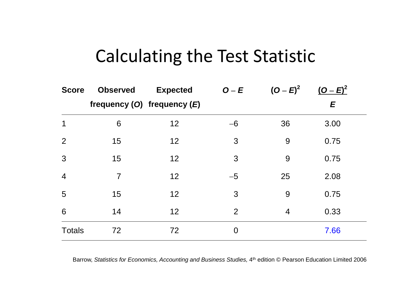#### Calculating the Test Statistic

| <b>Score</b>   | <b>Observed</b> | <b>Expected</b>                 | $O-E$          | $(O - E)^2$    | $(O - E)^2$ |  |
|----------------|-----------------|---------------------------------|----------------|----------------|-------------|--|
|                |                 | frequency $(O)$ frequency $(E)$ |                |                | E           |  |
| 1              | 6               | 12                              | $-6$           | 36             | 3.00        |  |
| 2              | 15              | 12                              | 3              | 9              | 0.75        |  |
| 3              | 15              | 12                              | 3              | 9              | 0.75        |  |
| $\overline{4}$ | $\overline{7}$  | 12                              | $-5$           | 25             | 2.08        |  |
| 5              | 15              | 12                              | 3              | 9              | 0.75        |  |
| 6              | 14              | 12                              | 2              | $\overline{4}$ | 0.33        |  |
| <b>Totals</b>  | 72              | 72                              | $\overline{0}$ |                | 7.66        |  |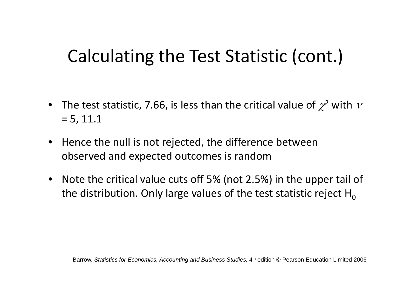#### Calculating the Test Statistic (cont.)

- The test statistic, 7.66, is less than the critical value of  $\chi^2$  with  $\nu$ = 5, 11.1
- $\bullet$  $\bullet$  Hence the null is not rejected, the difference between observed and expected outcomes is random
- Note the critical value cuts off 5% (not 2.5%) in the upper tail of the distribution. Only large values of the test statistic reject  ${\sf H}_0$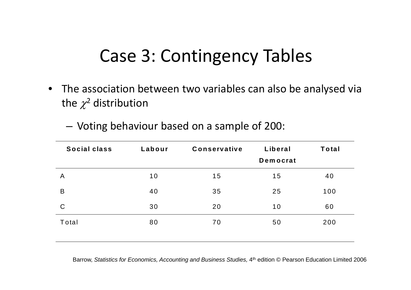### Case 3: Contingency Tables

 $\bullet$  The association between two variables can also be analysed via the  $\chi^2$  distribution

| Social class | Labour | <b>Conservative</b> | Liberal<br><b>Democrat</b> | <b>Total</b> |
|--------------|--------|---------------------|----------------------------|--------------|
|              |        |                     |                            |              |
| A            | 10     | 15                  | 15                         | 40           |
| B            | 40     | 35                  | 25                         | 100          |
| $\mathsf C$  | 30     | 20                  | 10                         | 60           |
| Total        | 80     | 70                  | 50                         | 200          |
|              |        |                     |                            |              |

Voting behaviour based on <sup>a</sup> sample of 200: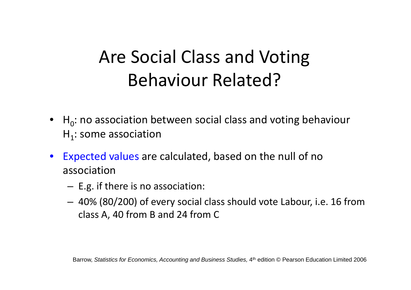## Are Social Class and Voting Behaviour Related?

- $H_0$ : no association between social class and voting behaviour  $H_1$ : some association
- • Expected values are calculated, based on the null of no association
	- E.g. if there is no association:
	- 40% (80/200) of every social class should vote Labour, i.e. 16 from class A, 40 from B and 24 from C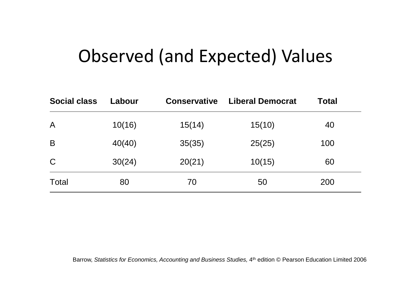#### Observed (and Expected) Values

| <b>Social class</b> | Labour | <b>Conservative</b> | <b>Liberal Democrat</b> | <b>Total</b> |  |
|---------------------|--------|---------------------|-------------------------|--------------|--|
| $\mathsf{A}$        | 10(16) | 15(14)              | 15(10)                  | 40           |  |
| B                   | 40(40) | 35(35)              | 25(25)                  | 100          |  |
| $\mathsf C$         | 30(24) | 20(21)              | 10(15)                  | 60           |  |
| <b>Total</b>        | 80     | 70                  | 50                      | 200          |  |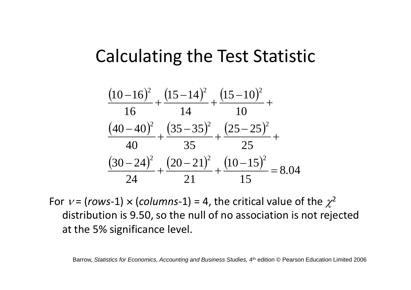#### Calculating the Test Statistic

$$
\frac{(10-16)^2}{16} + \frac{(15-14)^2}{14} + \frac{(15-10)^2}{10} + \frac{(40-40)^2}{40} + \frac{(35-35)^2}{35} + \frac{(25-25)^2}{25} + \frac{(30-24)^2}{24} + \frac{(20-21)^2}{21} + \frac{(10-15)^2}{15} = 8.04
$$

For  $v$  = (rows-1)  $\times$  (columns-1) = 4, the critical value of the  $\chi^2$ distribution is 9.50, so the null of no association is not rejected at the 5% significance level.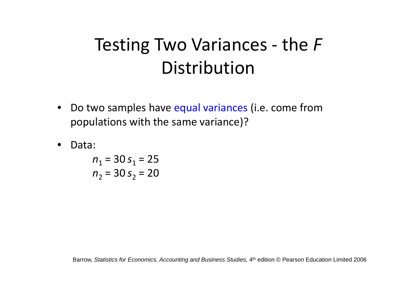## Testing Two Variances ‐ the *F* Distribution

- $\bullet$ • Do two samples have equal variances (i.e. come from populations with the same variance)?
- •Data:

*n*<sub>1</sub> = 30 *s*<sub>1</sub> = 25 *n*<sub>2</sub> = 30 *s*<sub>2</sub> = 20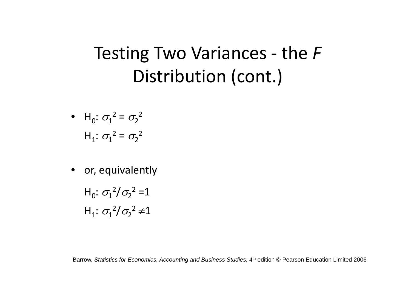## Testing Two Variances ‐ the *F* Distribution (cont.)

• H<sub>0</sub>: 
$$
\sigma_1^2 = \sigma_2^2
$$
  
H<sub>1</sub>:  $\sigma_1^2 = \sigma_2^2$ 

- or, equivalently
	- H<sub>0</sub>:  $\sigma_1^2/\sigma_2^2 = 1$  $H_1: \sigma_1^2/\sigma_2^2 \neq 1$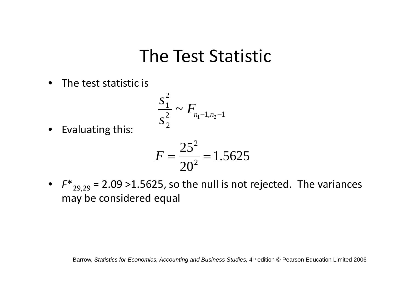#### The Test Statistic

• The test statistic is

$$
\frac{s_1^2}{s_2^2} \sim F_{n_1-1,n_2-1}
$$

• Evaluating this:

$$
F = \frac{25^2}{20^2} = 1.5625
$$

• F<sup>\*</sup><sub>29,29</sub> = 2.09 >1.5625, so the null is not rejected. The variances may be considered equal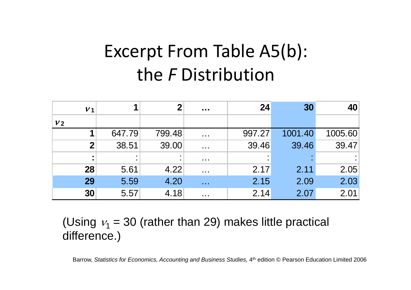## Excerpt From Table A5(b): the *F* Distribution

| V <sub>1</sub> |                      | $\boldsymbol{2}$ | $\sim 0.00$             | 24     | 30      | 40      |
|----------------|----------------------|------------------|-------------------------|--------|---------|---------|
| V <sub>2</sub> |                      |                  |                         |        |         |         |
|                | 647.79               | 799.48           | $\sim 100$              | 997.27 | 1001.40 | 1005.60 |
|                | 38.51<br>$\mathbf 2$ | 39.00            | $\sim 100$ km s $^{-1}$ | 39.46  | 39.46   | 39.47   |
|                | ٠                    |                  | $\sim 1000$             |        |         |         |
| 28             | 5.61                 | 4.22             | $\sim 100$              | 2.17   | 2.11    | 2.05    |
| 29             | 5.59                 | 4.20             | $\sim 100$              | 2.15   | 2.09    | 2.03    |
| 30             | 5.57                 | 4.18             | $\sim$ $\sim$ $\sim$    | 2.14   | 2.07    | 2.01    |

(Using  $v_1$  = 30 (rather than 29) makes little practical difference.)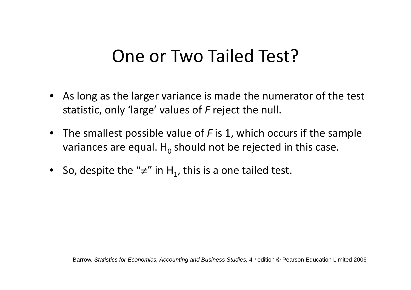#### One or Two Tailed Test?

- As long as the larger variance is made the numerator of the test statistic, only 'large' values of *F* reject the null.
- The smallest possible value of *F* is 1, which occurs if the sample variances are equal.  ${\sf H}_0$  should not be rejected in this case.
- So, despite the " $\neq$ " in H<sub>1</sub>, this is a one tailed test.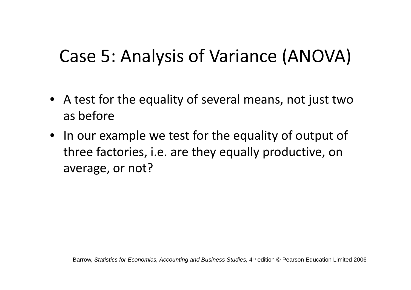## Case 5: Analysis of Variance (ANOVA)

- A test for the equality of several means, not just two as before
- In our example we test for the equality of output of three factories, i.e. are they equally productive, on average, or not?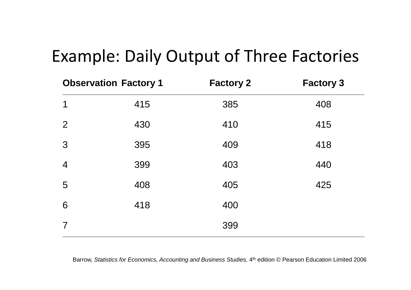#### Example: Daily Output of Three Factories

|                | <b>Observation Factory 1</b> | <b>Factory 2</b> | <b>Factory 3</b> |
|----------------|------------------------------|------------------|------------------|
| 1              | 415                          | 385              | 408              |
| $\overline{2}$ | 430                          | 410              | 415              |
| 3              | 395                          | 409              | 418              |
| $\overline{4}$ | 399                          | 403              | 440              |
| 5              | 408                          | 405              | 425              |
| 6              | 418                          | 400              |                  |
| $\overline{7}$ |                              | 399              |                  |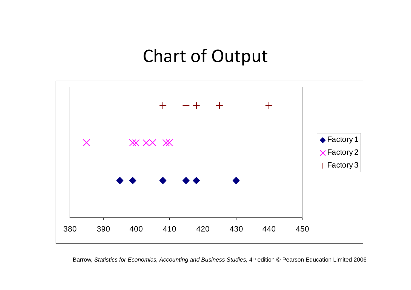#### Chart of Output



Barrow, Statistics for Economics, Accounting and Business Studies, 4<sup>th</sup> edition © Pearson Education Limited 2006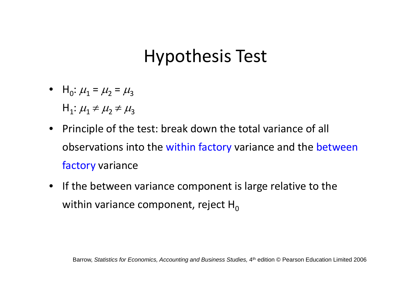#### Hypothesis Test

- $H_0: \mu_1 = \mu_2 = \mu_3$  ${\sf H}_1$ :  $\mu_1$   $\neq$   $\mu_2$   $\neq$   $\mu_3$
- Principle of the test: break down the total variance of all observations into the within factory variance and the between factory variance
- If the between variance component is large relative to the within variance component, reject  ${\sf H}_0$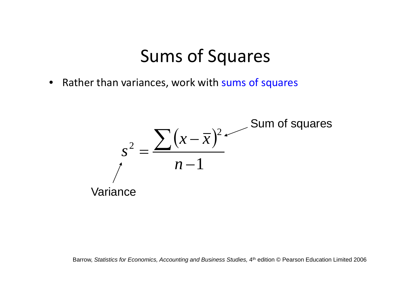#### Sums of Squares

• Rather than variances, work with sums of squares

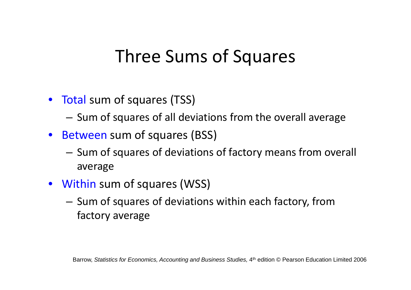#### Three Sums of Squares

- Total sum of squares (TSS)
	- Sum of squares of all deviations from the overall average
- Between sum of squares (BSS)
	- Sum of squares of deviations of factory means from overall average
- Within sum of squares (WSS)
	- Sum of squares of deviations within each factory, from factory average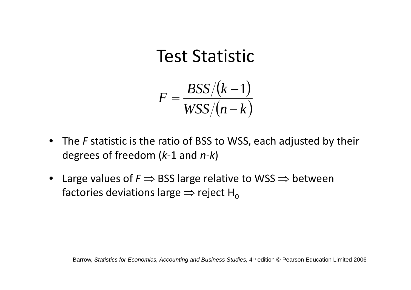#### Test Statistic

$$
F = \frac{BSS/(k-1)}{WSS/(n-k)}
$$

- The *F* statistic is the ratio of BSS to WSS, each adjusted by their SSdegrees of freedom (*k*‐<sup>1</sup> and *<sup>n</sup>‐k*)
- Large values of  $\mathit{F} \Rightarrow$  BSS large relative to WSS  $\Rightarrow$  between factories deviations large  $\Rightarrow$  reject H $_0$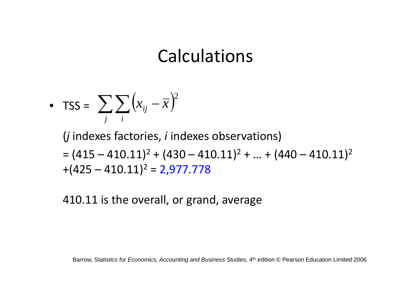#### Calculations

• 
$$
TSS = \sum_{j} \sum_{i} (x_{ij} - \overline{x})^2
$$

(*j* indexes factories, *i* indexes observations) = $(415 - 410.11)^2 + (430 - 410.11)^2 + ... + (440 - 410.11)^2$  $+(425 - 410.11)^2 = 2,977.778$ 

410.11 is the overall, or grand, average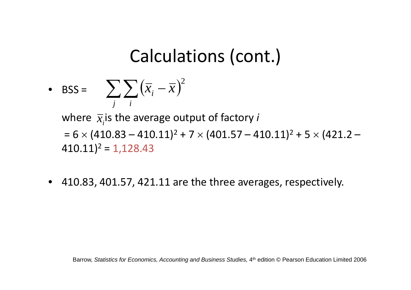## Calculations (cont.)

• BSS = 
$$
\sum_{j} \sum_{i} (\overline{x}_{i} - \overline{x})^{2}
$$

where  $\bar{x_i}$ is the average output of factory *i* 

=  $6\times$  (410.83 – 410.11)<sup>2</sup> + 7  $\times$  (401.57 – 410.11)<sup>2</sup> + 5  $\times$  (421.2 – 410.11)<sup>2</sup> = 1,128.43

• 410.83, 401.57, 421.11 are the three averages, respectively.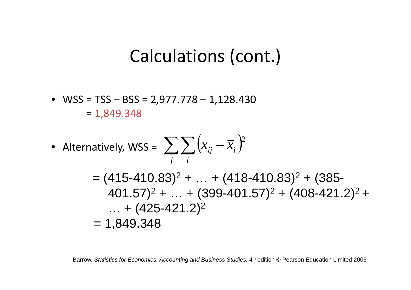#### Calculations (cont.)

• WSS <sup>=</sup> TSS – BSS <sup>=</sup> 2,977.778 – 1,128.430 = 1,849.348

• Alternatively, WSS = 
$$
\sum_{j} \sum_{i} (x_{ij} - \overline{x}_{i})^{2}
$$
  
= (415-410.83)<sup>2</sup> + ... + (418-410.83)<sup>2</sup> + (385-401.57)<sup>2</sup> + ... + (399-401.57)<sup>2</sup> + (408-421.2)<sup>2</sup> + ... + (425-421.2)<sup>2</sup>  
= 1,849.348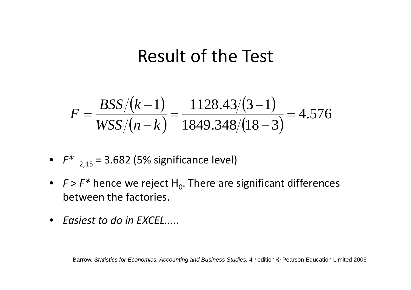#### Result of the Test

$$
F = \frac{BSS/(k-1)}{WSS/(n-k)} = \frac{1128.43/(3-1)}{1849.348/(18-3)} = 4.576
$$

• 
$$
F^*
$$
 <sub>2,15</sub> = 3.682 (5% significance level)

- F >  $F^*$  hence we reject H<sub>0</sub>. There are significant differences between the factories.
- *Easiest to do in EXCEL.....*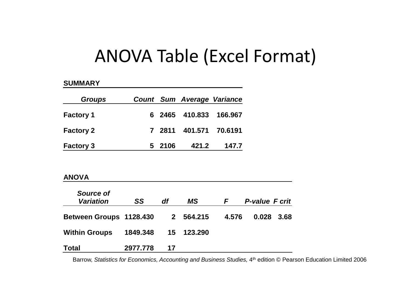#### ANOVA Table (Excel Format)

#### **SUMMARY**

| <b>Groups</b>    |        | <b>Count Sum Average Variance</b> |       |
|------------------|--------|-----------------------------------|-------|
| <b>Factory 1</b> |        | 6 2465 410.833 166.967            |       |
| <b>Factory 2</b> |        | 7 2811 401.571 70.6191            |       |
| <b>Factory 3</b> | 5 2106 | 421.2                             | 147.7 |

#### **ANOVA**

| Source of<br><b>Variation</b> | SS       | df           | MS         | F.    | <b>P-value F crit</b> |      |
|-------------------------------|----------|--------------|------------|-------|-----------------------|------|
| Between Groups 1128.430       |          | $\mathbf{2}$ | 564.215    | 4.576 | 0.028                 | 3.68 |
| <b>Within Groups</b>          | 1849.348 |              | 15 123.290 |       |                       |      |
| <b>Total</b>                  | 2977.778 | 17           |            |       |                       |      |